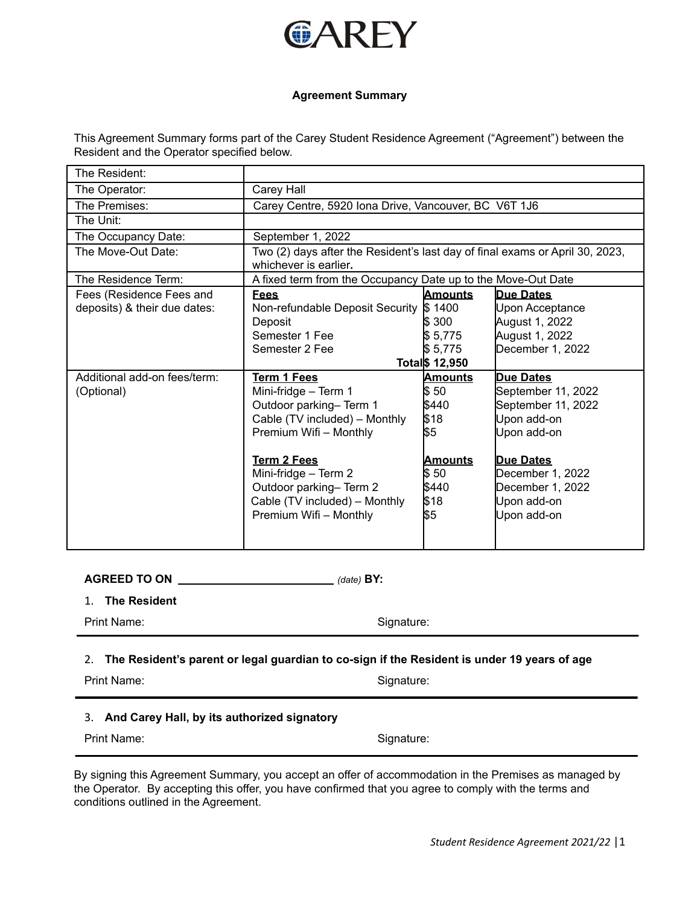

### **Agreement Summary**

This Agreement Summary forms part of the Carey Student Residence Agreement ("Agreement") between the Resident and the Operator specified below.

| The Resident:                |                                                                                                       |                |                    |  |
|------------------------------|-------------------------------------------------------------------------------------------------------|----------------|--------------------|--|
| The Operator:                | Carey Hall                                                                                            |                |                    |  |
| The Premises:                | Carey Centre, 5920 Iona Drive, Vancouver, BC V6T 1J6                                                  |                |                    |  |
| The Unit:                    |                                                                                                       |                |                    |  |
| The Occupancy Date:          | September 1, 2022                                                                                     |                |                    |  |
| The Move-Out Date:           | Two (2) days after the Resident's last day of final exams or April 30, 2023,<br>whichever is earlier. |                |                    |  |
| The Residence Term:          | A fixed term from the Occupancy Date up to the Move-Out Date                                          |                |                    |  |
| Fees (Residence Fees and     | <b>Fees</b>                                                                                           | <b>Amounts</b> | Due Dates          |  |
| deposits) & their due dates: | Non-refundable Deposit Security \$ 1400                                                               |                | Upon Acceptance    |  |
|                              | Deposit                                                                                               | ls 300         | August 1, 2022     |  |
|                              | Semester 1 Fee                                                                                        | \$5,775        | August 1, 2022     |  |
|                              | Semester 2 Fee                                                                                        | \$5,775        | December 1, 2022   |  |
|                              |                                                                                                       | Total \$12,950 |                    |  |
| Additional add-on fees/term: | Term 1 Fees                                                                                           | <u>Amounts</u> | <b>Due Dates</b>   |  |
| (Optional)                   | Mini-fridge - Term 1                                                                                  | \$50           | September 11, 2022 |  |
|                              | Outdoor parking- Term 1                                                                               | \$440          | September 11, 2022 |  |
|                              | Cable (TV included) - Monthly                                                                         | \$18           | Upon add-on        |  |
|                              | Premium Wifi - Monthly                                                                                | \$5            | Upon add-on        |  |
|                              |                                                                                                       |                |                    |  |
|                              | <b>Term 2 Fees</b>                                                                                    | <u>Amounts</u> | Due Dates          |  |
|                              | Mini-fridge - Term 2                                                                                  | \$50           | December 1, 2022   |  |
|                              | Outdoor parking-Term 2                                                                                | \$440          | December 1, 2022   |  |
|                              | Cable (TV included) - Monthly                                                                         | \$18           | Upon add-on        |  |
|                              | Premium Wifi - Monthly                                                                                | \\$5           | Upon add-on        |  |
|                              |                                                                                                       |                |                    |  |

**AGREED TO ON** *(date)* **BY:**

1. **The Resident**

Print Name: Signature: Signature:

2. **The Resident's parent or legal guardian to co-sign if the Resident is under 19 years of age**

Print Name: Signature:

# 3. **And Carey Hall, by its authorized signatory**

Print Name: Signature:

By signing this Agreement Summary, you accept an offer of accommodation in the Premises as managed by the Operator. By accepting this offer, you have confirmed that you agree to comply with the terms and conditions outlined in the Agreement.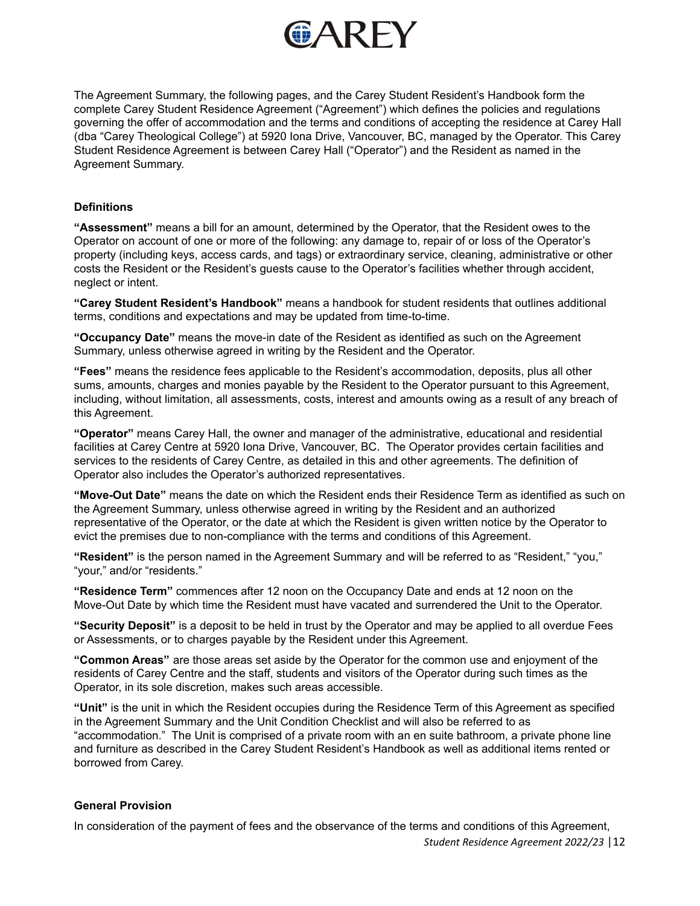

The Agreement Summary, the following pages, and the Carey Student Resident's Handbook form the complete Carey Student Residence Agreement ("Agreement") which defines the policies and regulations governing the offer of accommodation and the terms and conditions of accepting the residence at Carey Hall (dba "Carey Theological College") at 5920 Iona Drive, Vancouver, BC, managed by the Operator. This Carey Student Residence Agreement is between Carey Hall ("Operator") and the Resident as named in the Agreement Summary.

## **Definitions**

**"Assessment"** means a bill for an amount, determined by the Operator, that the Resident owes to the Operator on account of one or more of the following: any damage to, repair of or loss of the Operator's property (including keys, access cards, and tags) or extraordinary service, cleaning, administrative or other costs the Resident or the Resident's guests cause to the Operator's facilities whether through accident, neglect or intent.

**"Carey Student Resident's Handbook"** means a handbook for student residents that outlines additional terms, conditions and expectations and may be updated from time-to-time.

**"Occupancy Date"** means the move-in date of the Resident as identified as such on the Agreement Summary, unless otherwise agreed in writing by the Resident and the Operator.

**"Fees"** means the residence fees applicable to the Resident's accommodation, deposits, plus all other sums, amounts, charges and monies payable by the Resident to the Operator pursuant to this Agreement, including, without limitation, all assessments, costs, interest and amounts owing as a result of any breach of this Agreement.

**"Operator"** means Carey Hall, the owner and manager of the administrative, educational and residential facilities at Carey Centre at 5920 Iona Drive, Vancouver, BC. The Operator provides certain facilities and services to the residents of Carey Centre, as detailed in this and other agreements. The definition of Operator also includes the Operator's authorized representatives.

**"Move-Out Date"** means the date on which the Resident ends their Residence Term as identified as such on the Agreement Summary, unless otherwise agreed in writing by the Resident and an authorized representative of the Operator, or the date at which the Resident is given written notice by the Operator to evict the premises due to non-compliance with the terms and conditions of this Agreement.

**"Resident"** is the person named in the Agreement Summary and will be referred to as "Resident," "you," "your," and/or "residents."

**"Residence Term"** commences after 12 noon on the Occupancy Date and ends at 12 noon on the Move-Out Date by which time the Resident must have vacated and surrendered the Unit to the Operator.

**"Security Deposit"** is a deposit to be held in trust by the Operator and may be applied to all overdue Fees or Assessments, or to charges payable by the Resident under this Agreement.

**"Common Areas"** are those areas set aside by the Operator for the common use and enjoyment of the residents of Carey Centre and the staff, students and visitors of the Operator during such times as the Operator, in its sole discretion, makes such areas accessible.

**"Unit"** is the unit in which the Resident occupies during the Residence Term of this Agreement as specified in the Agreement Summary and the Unit Condition Checklist and will also be referred to as "accommodation." The Unit is comprised of a private room with an en suite bathroom, a private phone line and furniture as described in the Carey Student Resident's Handbook as well as additional items rented or borrowed from Carey.

# **General Provision**

In consideration of the payment of fees and the observance of the terms and conditions of this Agreement,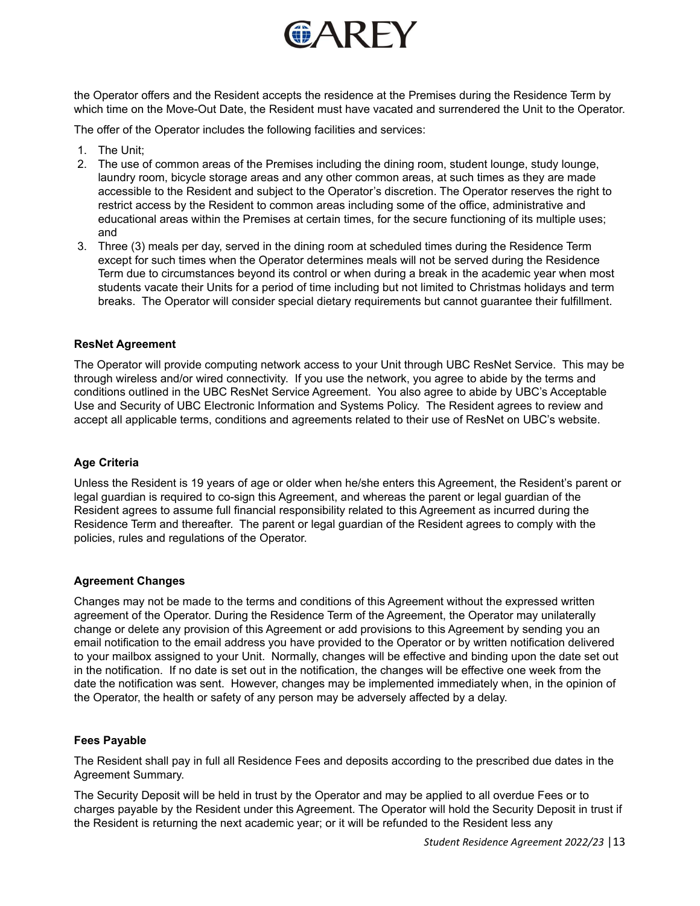

the Operator offers and the Resident accepts the residence at the Premises during the Residence Term by which time on the Move-Out Date, the Resident must have vacated and surrendered the Unit to the Operator.

The offer of the Operator includes the following facilities and services:

- 1. The Unit;
- 2. The use of common areas of the Premises including the dining room, student lounge, study lounge, laundry room, bicycle storage areas and any other common areas, at such times as they are made accessible to the Resident and subject to the Operator's discretion. The Operator reserves the right to restrict access by the Resident to common areas including some of the office, administrative and educational areas within the Premises at certain times, for the secure functioning of its multiple uses; and
- 3. Three (3) meals per day, served in the dining room at scheduled times during the Residence Term except for such times when the Operator determines meals will not be served during the Residence Term due to circumstances beyond its control or when during a break in the academic year when most students vacate their Units for a period of time including but not limited to Christmas holidays and term breaks. The Operator will consider special dietary requirements but cannot guarantee their fulfillment.

### **ResNet Agreement**

The Operator will provide computing network access to your Unit through UBC ResNet Service. This may be through wireless and/or wired connectivity. If you use the network, you agree to abide by the terms and conditions outlined in the UBC ResNet Service Agreement. You also agree to abide by UBC's Acceptable Use and Security of UBC Electronic Information and Systems Policy. The Resident agrees to review and accept all applicable terms, conditions and agreements related to their use of ResNet on UBC's website.

## **Age Criteria**

Unless the Resident is 19 years of age or older when he/she enters this Agreement, the Resident's parent or legal guardian is required to co-sign this Agreement, and whereas the parent or legal guardian of the Resident agrees to assume full financial responsibility related to this Agreement as incurred during the Residence Term and thereafter. The parent or legal guardian of the Resident agrees to comply with the policies, rules and regulations of the Operator.

#### **Agreement Changes**

Changes may not be made to the terms and conditions of this Agreement without the expressed written agreement of the Operator. During the Residence Term of the Agreement, the Operator may unilaterally change or delete any provision of this Agreement or add provisions to this Agreement by sending you an email notification to the email address you have provided to the Operator or by written notification delivered to your mailbox assigned to your Unit. Normally, changes will be effective and binding upon the date set out in the notification. If no date is set out in the notification, the changes will be effective one week from the date the notification was sent. However, changes may be implemented immediately when, in the opinion of the Operator, the health or safety of any person may be adversely affected by a delay.

#### **Fees Payable**

The Resident shall pay in full all Residence Fees and deposits according to the prescribed due dates in the Agreement Summary.

The Security Deposit will be held in trust by the Operator and may be applied to all overdue Fees or to charges payable by the Resident under this Agreement. The Operator will hold the Security Deposit in trust if the Resident is returning the next academic year; or it will be refunded to the Resident less any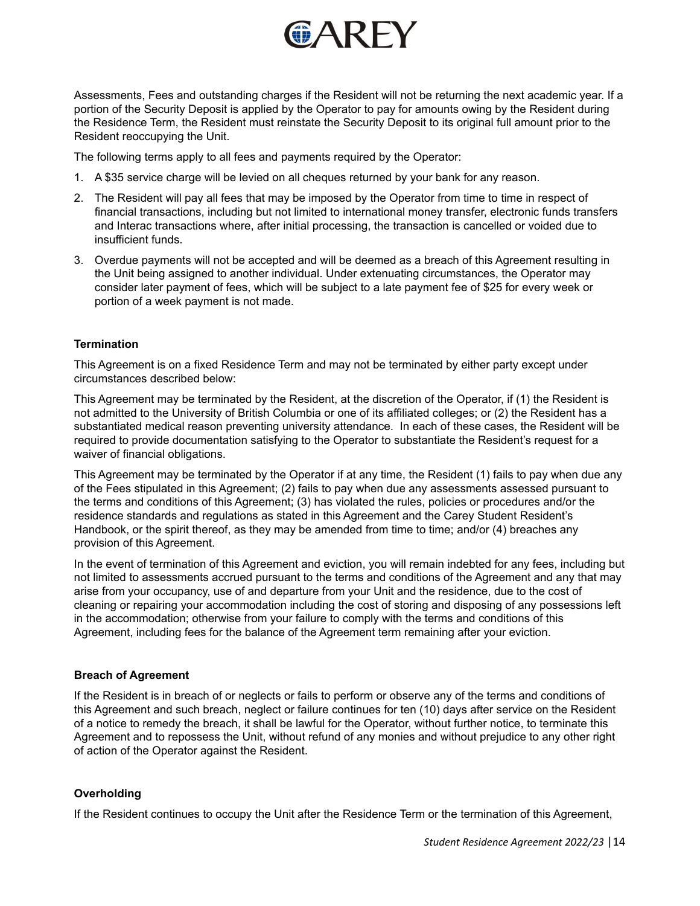

Assessments, Fees and outstanding charges if the Resident will not be returning the next academic year. If a portion of the Security Deposit is applied by the Operator to pay for amounts owing by the Resident during the Residence Term, the Resident must reinstate the Security Deposit to its original full amount prior to the Resident reoccupying the Unit.

The following terms apply to all fees and payments required by the Operator:

- 1. A \$35 service charge will be levied on all cheques returned by your bank for any reason.
- 2. The Resident will pay all fees that may be imposed by the Operator from time to time in respect of financial transactions, including but not limited to international money transfer, electronic funds transfers and Interac transactions where, after initial processing, the transaction is cancelled or voided due to insufficient funds.
- 3. Overdue payments will not be accepted and will be deemed as a breach of this Agreement resulting in the Unit being assigned to another individual. Under extenuating circumstances, the Operator may consider later payment of fees, which will be subject to a late payment fee of \$25 for every week or portion of a week payment is not made.

# **Termination**

This Agreement is on a fixed Residence Term and may not be terminated by either party except under circumstances described below:

This Agreement may be terminated by the Resident, at the discretion of the Operator, if (1) the Resident is not admitted to the University of British Columbia or one of its affiliated colleges; or (2) the Resident has a substantiated medical reason preventing university attendance. In each of these cases, the Resident will be required to provide documentation satisfying to the Operator to substantiate the Resident's request for a waiver of financial obligations.

This Agreement may be terminated by the Operator if at any time, the Resident (1) fails to pay when due any of the Fees stipulated in this Agreement; (2) fails to pay when due any assessments assessed pursuant to the terms and conditions of this Agreement; (3) has violated the rules, policies or procedures and/or the residence standards and regulations as stated in this Agreement and the Carey Student Resident's Handbook, or the spirit thereof, as they may be amended from time to time; and/or (4) breaches any provision of this Agreement.

In the event of termination of this Agreement and eviction, you will remain indebted for any fees, including but not limited to assessments accrued pursuant to the terms and conditions of the Agreement and any that may arise from your occupancy, use of and departure from your Unit and the residence, due to the cost of cleaning or repairing your accommodation including the cost of storing and disposing of any possessions left in the accommodation; otherwise from your failure to comply with the terms and conditions of this Agreement, including fees for the balance of the Agreement term remaining after your eviction.

## **Breach of Agreement**

If the Resident is in breach of or neglects or fails to perform or observe any of the terms and conditions of this Agreement and such breach, neglect or failure continues for ten (10) days after service on the Resident of a notice to remedy the breach, it shall be lawful for the Operator, without further notice, to terminate this Agreement and to repossess the Unit, without refund of any monies and without prejudice to any other right of action of the Operator against the Resident.

# **Overholding**

If the Resident continues to occupy the Unit after the Residence Term or the termination of this Agreement,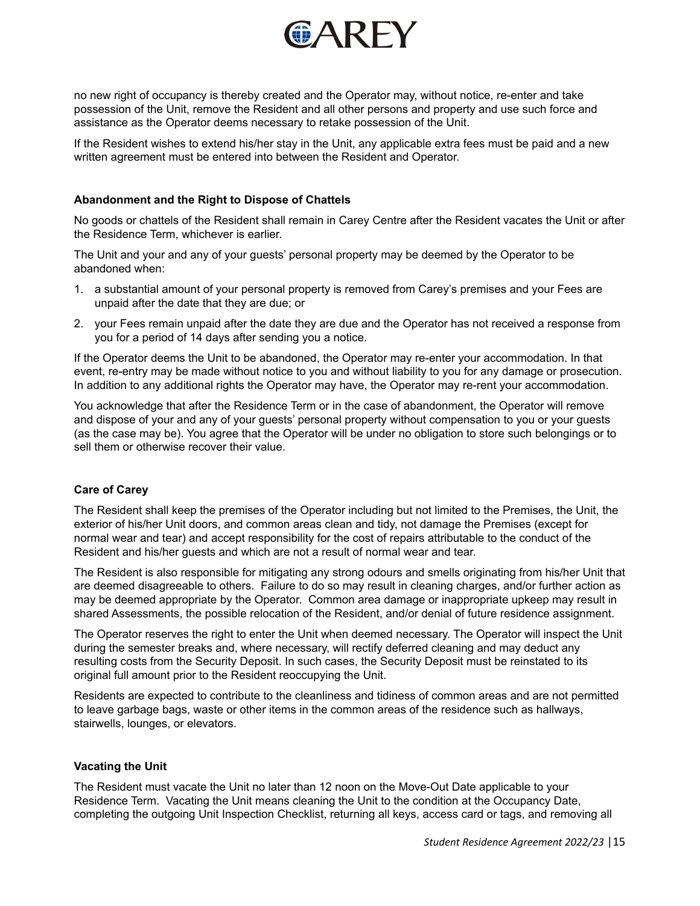

no new right of occupancy is thereby created and the Operator may, without notice, re-enter and take possession of the Unit, remove the Resident and all other persons and property and use such force and assistance as the Operator deems necessary to retake possession of the Unit.

If the Resident wishes to extend his/her stay in the Unit, any applicable extra fees must be paid and a new written agreement must be entered into between the Resident and Operator.

## **Abandonment and the Right to Dispose of Chattels**

No goods or chattels of the Resident shall remain in Carey Centre after the Resident vacates the Unit or after the Residence Term, whichever is earlier.

The Unit and your and any of your guests' personal property may be deemed by the Operator to be abandoned when:

- 1. a substantial amount of your personal property is removed from Carey's premises and your Fees are unpaid after the date that they are due; or
- 2. your Fees remain unpaid after the date they are due and the Operator has not received a response from you for a period of 14 days after sending you a notice.

If the Operator deems the Unit to be abandoned, the Operator may re-enter your accommodation. In that event, re-entry may be made without notice to you and without liability to you for any damage or prosecution. In addition to any additional rights the Operator may have, the Operator may re-rent your accommodation.

You acknowledge that after the Residence Term or in the case of abandonment, the Operator will remove and dispose of your and any of your guests' personal property without compensation to you or your guests (as the case may be). You agree that the Operator will be under no obligation to store such belongings or to sell them or otherwise recover their value.

## **Care of Carey**

The Resident shall keep the premises of the Operator including but not limited to the Premises, the Unit, the exterior of his/her Unit doors, and common areas clean and tidy, not damage the Premises (except for normal wear and tear) and accept responsibility for the cost of repairs attributable to the conduct of the Resident and his/her guests and which are not a result of normal wear and tear.

The Resident is also responsible for mitigating any strong odours and smells originating from his/her Unit that are deemed disagreeable to others. Failure to do so may result in cleaning charges, and/or further action as may be deemed appropriate by the Operator. Common area damage or inappropriate upkeep may result in shared Assessments, the possible relocation of the Resident, and/or denial of future residence assignment.

The Operator reserves the right to enter the Unit when deemed necessary. The Operator will inspect the Unit during the semester breaks and, where necessary, will rectify deferred cleaning and may deduct any resulting costs from the Security Deposit. In such cases, the Security Deposit must be reinstated to its original full amount prior to the Resident reoccupying the Unit.

Residents are expected to contribute to the cleanliness and tidiness of common areas and are not permitted to leave garbage bags, waste or other items in the common areas of the residence such as hallways, stairwells, lounges, or elevators.

## **Vacating the Unit**

The Resident must vacate the Unit no later than 12 noon on the Move-Out Date applicable to your Residence Term. Vacating the Unit means cleaning the Unit to the condition at the Occupancy Date, completing the outgoing Unit Inspection Checklist, returning all keys, access card or tags, and removing all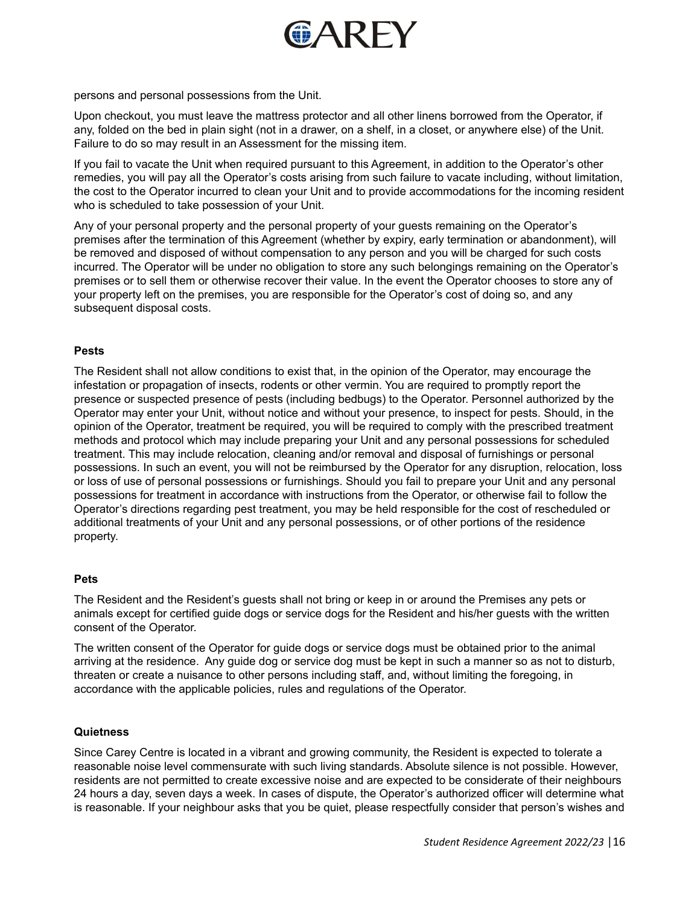

persons and personal possessions from the Unit.

Upon checkout, you must leave the mattress protector and all other linens borrowed from the Operator, if any, folded on the bed in plain sight (not in a drawer, on a shelf, in a closet, or anywhere else) of the Unit. Failure to do so may result in an Assessment for the missing item.

If you fail to vacate the Unit when required pursuant to this Agreement, in addition to the Operator's other remedies, you will pay all the Operator's costs arising from such failure to vacate including, without limitation, the cost to the Operator incurred to clean your Unit and to provide accommodations for the incoming resident who is scheduled to take possession of your Unit.

Any of your personal property and the personal property of your guests remaining on the Operator's premises after the termination of this Agreement (whether by expiry, early termination or abandonment), will be removed and disposed of without compensation to any person and you will be charged for such costs incurred. The Operator will be under no obligation to store any such belongings remaining on the Operator's premises or to sell them or otherwise recover their value. In the event the Operator chooses to store any of your property left on the premises, you are responsible for the Operator's cost of doing so, and any subsequent disposal costs.

### **Pests**

The Resident shall not allow conditions to exist that, in the opinion of the Operator, may encourage the infestation or propagation of insects, rodents or other vermin. You are required to promptly report the presence or suspected presence of pests (including bedbugs) to the Operator. Personnel authorized by the Operator may enter your Unit, without notice and without your presence, to inspect for pests. Should, in the opinion of the Operator, treatment be required, you will be required to comply with the prescribed treatment methods and protocol which may include preparing your Unit and any personal possessions for scheduled treatment. This may include relocation, cleaning and/or removal and disposal of furnishings or personal possessions. In such an event, you will not be reimbursed by the Operator for any disruption, relocation, loss or loss of use of personal possessions or furnishings. Should you fail to prepare your Unit and any personal possessions for treatment in accordance with instructions from the Operator, or otherwise fail to follow the Operator's directions regarding pest treatment, you may be held responsible for the cost of rescheduled or additional treatments of your Unit and any personal possessions, or of other portions of the residence property.

## **Pets**

The Resident and the Resident's guests shall not bring or keep in or around the Premises any pets or animals except for certified guide dogs or service dogs for the Resident and his/her guests with the written consent of the Operator.

The written consent of the Operator for guide dogs or service dogs must be obtained prior to the animal arriving at the residence. Any guide dog or service dog must be kept in such a manner so as not to disturb, threaten or create a nuisance to other persons including staff, and, without limiting the foregoing, in accordance with the applicable policies, rules and regulations of the Operator.

## **Quietness**

Since Carey Centre is located in a vibrant and growing community, the Resident is expected to tolerate a reasonable noise level commensurate with such living standards. Absolute silence is not possible. However, residents are not permitted to create excessive noise and are expected to be considerate of their neighbours 24 hours a day, seven days a week. In cases of dispute, the Operator's authorized officer will determine what is reasonable. If your neighbour asks that you be quiet, please respectfully consider that person's wishes and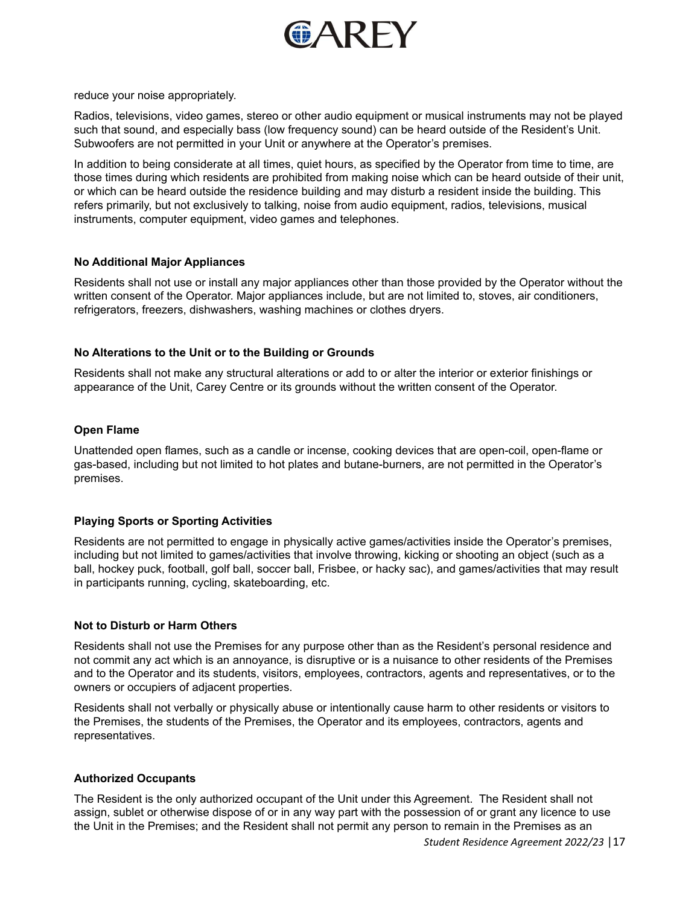

reduce your noise appropriately.

Radios, televisions, video games, stereo or other audio equipment or musical instruments may not be played such that sound, and especially bass (low frequency sound) can be heard outside of the Resident's Unit. Subwoofers are not permitted in your Unit or anywhere at the Operator's premises.

In addition to being considerate at all times, quiet hours, as specified by the Operator from time to time, are those times during which residents are prohibited from making noise which can be heard outside of their unit, or which can be heard outside the residence building and may disturb a resident inside the building. This refers primarily, but not exclusively to talking, noise from audio equipment, radios, televisions, musical instruments, computer equipment, video games and telephones.

# **No Additional Major Appliances**

Residents shall not use or install any major appliances other than those provided by the Operator without the written consent of the Operator. Major appliances include, but are not limited to, stoves, air conditioners, refrigerators, freezers, dishwashers, washing machines or clothes dryers.

# **No Alterations to the Unit or to the Building or Grounds**

Residents shall not make any structural alterations or add to or alter the interior or exterior finishings or appearance of the Unit, Carey Centre or its grounds without the written consent of the Operator.

# **Open Flame**

Unattended open flames, such as a candle or incense, cooking devices that are open-coil, open-flame or gas-based, including but not limited to hot plates and butane-burners, are not permitted in the Operator's premises.

# **Playing Sports or Sporting Activities**

Residents are not permitted to engage in physically active games/activities inside the Operator's premises, including but not limited to games/activities that involve throwing, kicking or shooting an object (such as a ball, hockey puck, football, golf ball, soccer ball, Frisbee, or hacky sac), and games/activities that may result in participants running, cycling, skateboarding, etc.

## **Not to Disturb or Harm Others**

Residents shall not use the Premises for any purpose other than as the Resident's personal residence and not commit any act which is an annoyance, is disruptive or is a nuisance to other residents of the Premises and to the Operator and its students, visitors, employees, contractors, agents and representatives, or to the owners or occupiers of adjacent properties.

Residents shall not verbally or physically abuse or intentionally cause harm to other residents or visitors to the Premises, the students of the Premises, the Operator and its employees, contractors, agents and representatives.

## **Authorized Occupants**

The Resident is the only authorized occupant of the Unit under this Agreement. The Resident shall not assign, sublet or otherwise dispose of or in any way part with the possession of or grant any licence to use the Unit in the Premises; and the Resident shall not permit any person to remain in the Premises as an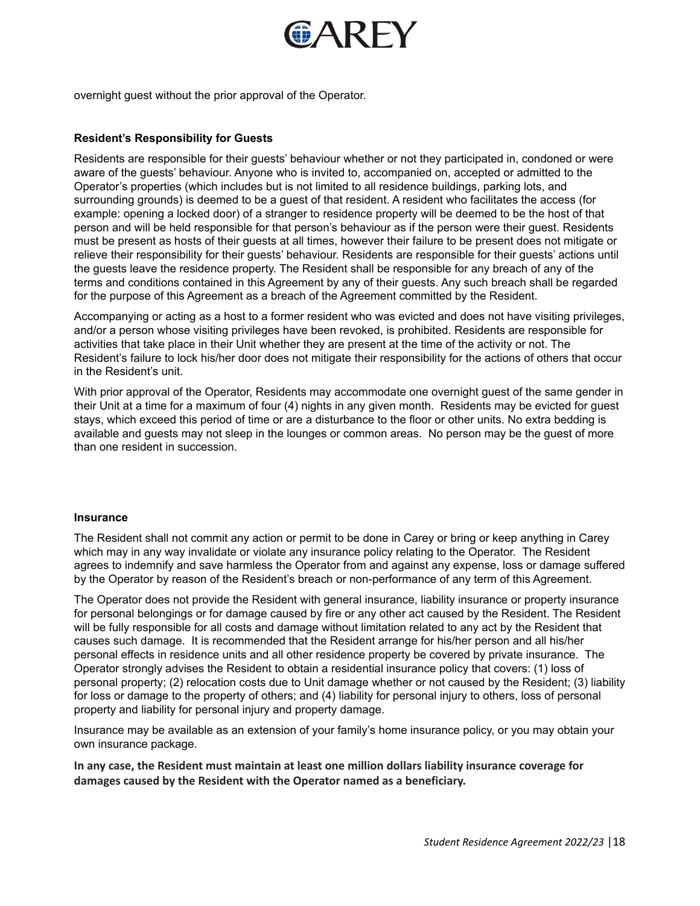

overnight guest without the prior approval of the Operator.

## **Resident's Responsibility for Guests**

Residents are responsible for their guests' behaviour whether or not they participated in, condoned or were aware of the guests' behaviour. Anyone who is invited to, accompanied on, accepted or admitted to the Operator's properties (which includes but is not limited to all residence buildings, parking lots, and surrounding grounds) is deemed to be a guest of that resident. A resident who facilitates the access (for example: opening a locked door) of a stranger to residence property will be deemed to be the host of that person and will be held responsible for that person's behaviour as if the person were their guest. Residents must be present as hosts of their guests at all times, however their failure to be present does not mitigate or relieve their responsibility for their guests' behaviour. Residents are responsible for their guests' actions until the guests leave the residence property. The Resident shall be responsible for any breach of any of the terms and conditions contained in this Agreement by any of their guests. Any such breach shall be regarded for the purpose of this Agreement as a breach of the Agreement committed by the Resident.

Accompanying or acting as a host to a former resident who was evicted and does not have visiting privileges, and/or a person whose visiting privileges have been revoked, is prohibited. Residents are responsible for activities that take place in their Unit whether they are present at the time of the activity or not. The Resident's failure to lock his/her door does not mitigate their responsibility for the actions of others that occur in the Resident's unit.

With prior approval of the Operator, Residents may accommodate one overnight quest of the same gender in their Unit at a time for a maximum of four (4) nights in any given month. Residents may be evicted for guest stays, which exceed this period of time or are a disturbance to the floor or other units. No extra bedding is available and guests may not sleep in the lounges or common areas. No person may be the guest of more than one resident in succession.

#### **Insurance**

The Resident shall not commit any action or permit to be done in Carey or bring or keep anything in Carey which may in any way invalidate or violate any insurance policy relating to the Operator. The Resident agrees to indemnify and save harmless the Operator from and against any expense, loss or damage suffered by the Operator by reason of the Resident's breach or non-performance of any term of this Agreement.

The Operator does not provide the Resident with general insurance, liability insurance or property insurance for personal belongings or for damage caused by fire or any other act caused by the Resident. The Resident will be fully responsible for all costs and damage without limitation related to any act by the Resident that causes such damage. It is recommended that the Resident arrange for his/her person and all his/her personal effects in residence units and all other residence property be covered by private insurance. The Operator strongly advises the Resident to obtain a residential insurance policy that covers: (1) loss of personal property; (2) relocation costs due to Unit damage whether or not caused by the Resident; (3) liability for loss or damage to the property of others; and (4) liability for personal injury to others, loss of personal property and liability for personal injury and property damage.

Insurance may be available as an extension of your family's home insurance policy, or you may obtain your own insurance package.

**In any case, the Resident must maintain at least one million dollars liability insurance coverage for damages caused by the Resident with the Operator named as a beneficiary.**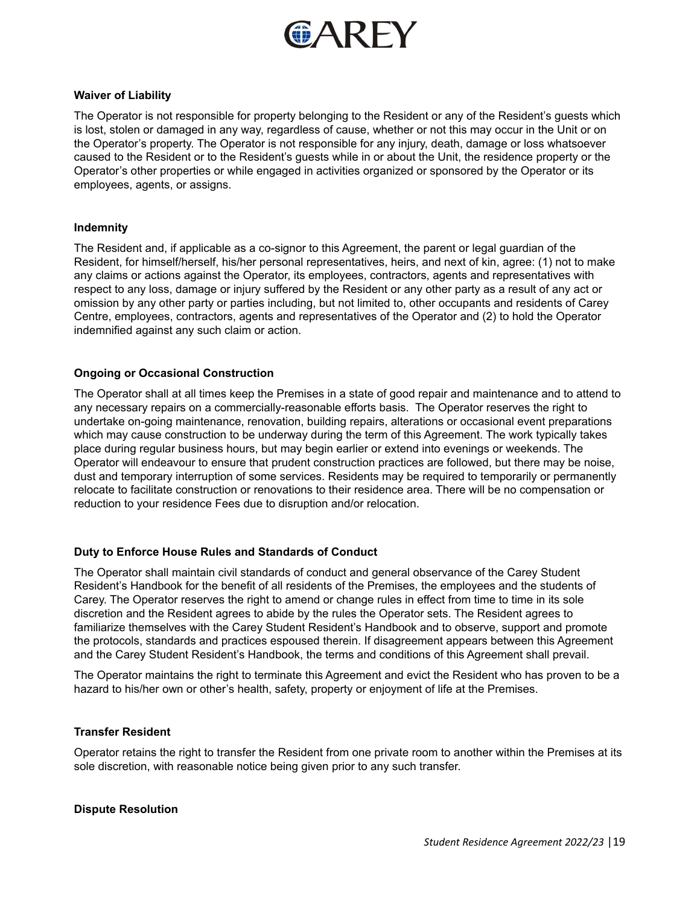

### **Waiver of Liability**

The Operator is not responsible for property belonging to the Resident or any of the Resident's guests which is lost, stolen or damaged in any way, regardless of cause, whether or not this may occur in the Unit or on the Operator's property. The Operator is not responsible for any injury, death, damage or loss whatsoever caused to the Resident or to the Resident's guests while in or about the Unit, the residence property or the Operator's other properties or while engaged in activities organized or sponsored by the Operator or its employees, agents, or assigns.

### **Indemnity**

The Resident and, if applicable as a co-signor to this Agreement, the parent or legal guardian of the Resident, for himself/herself, his/her personal representatives, heirs, and next of kin, agree: (1) not to make any claims or actions against the Operator, its employees, contractors, agents and representatives with respect to any loss, damage or injury suffered by the Resident or any other party as a result of any act or omission by any other party or parties including, but not limited to, other occupants and residents of Carey Centre, employees, contractors, agents and representatives of the Operator and (2) to hold the Operator indemnified against any such claim or action.

## **Ongoing or Occasional Construction**

The Operator shall at all times keep the Premises in a state of good repair and maintenance and to attend to any necessary repairs on a commercially-reasonable efforts basis. The Operator reserves the right to undertake on-going maintenance, renovation, building repairs, alterations or occasional event preparations which may cause construction to be underway during the term of this Agreement. The work typically takes place during regular business hours, but may begin earlier or extend into evenings or weekends. The Operator will endeavour to ensure that prudent construction practices are followed, but there may be noise, dust and temporary interruption of some services. Residents may be required to temporarily or permanently relocate to facilitate construction or renovations to their residence area. There will be no compensation or reduction to your residence Fees due to disruption and/or relocation.

## **Duty to Enforce House Rules and Standards of Conduct**

The Operator shall maintain civil standards of conduct and general observance of the Carey Student Resident's Handbook for the benefit of all residents of the Premises, the employees and the students of Carey. The Operator reserves the right to amend or change rules in effect from time to time in its sole discretion and the Resident agrees to abide by the rules the Operator sets. The Resident agrees to familiarize themselves with the Carey Student Resident's Handbook and to observe, support and promote the protocols, standards and practices espoused therein. If disagreement appears between this Agreement and the Carey Student Resident's Handbook, the terms and conditions of this Agreement shall prevail.

The Operator maintains the right to terminate this Agreement and evict the Resident who has proven to be a hazard to his/her own or other's health, safety, property or enjoyment of life at the Premises.

## **Transfer Resident**

Operator retains the right to transfer the Resident from one private room to another within the Premises at its sole discretion, with reasonable notice being given prior to any such transfer.

## **Dispute Resolution**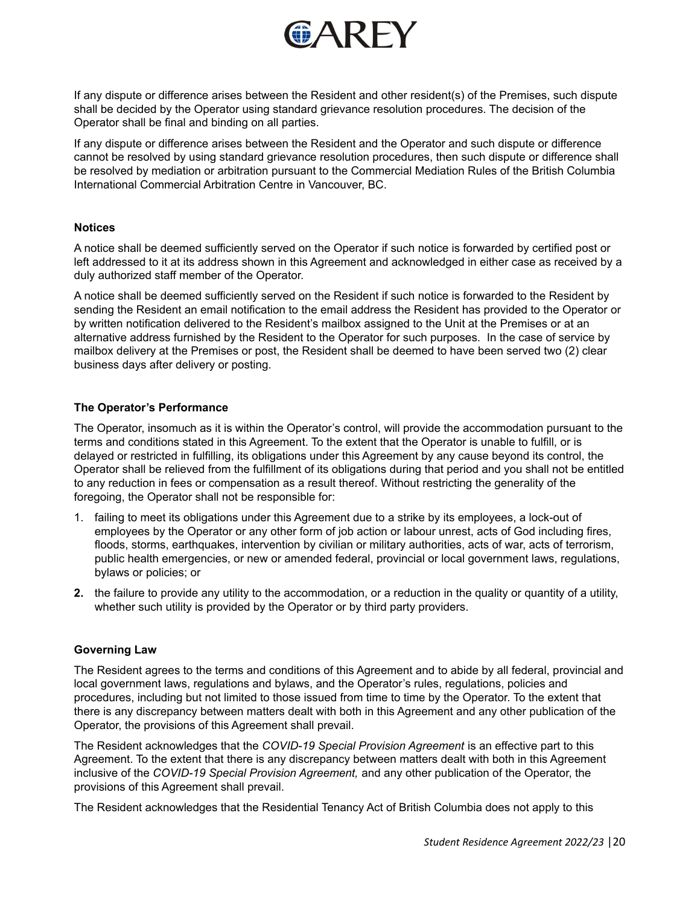

If any dispute or difference arises between the Resident and other resident(s) of the Premises, such dispute shall be decided by the Operator using standard grievance resolution procedures. The decision of the Operator shall be final and binding on all parties.

If any dispute or difference arises between the Resident and the Operator and such dispute or difference cannot be resolved by using standard grievance resolution procedures, then such dispute or difference shall be resolved by mediation or arbitration pursuant to the Commercial Mediation Rules of the British Columbia International Commercial Arbitration Centre in Vancouver, BC.

## **Notices**

A notice shall be deemed sufficiently served on the Operator if such notice is forwarded by certified post or left addressed to it at its address shown in this Agreement and acknowledged in either case as received by a duly authorized staff member of the Operator.

A notice shall be deemed sufficiently served on the Resident if such notice is forwarded to the Resident by sending the Resident an email notification to the email address the Resident has provided to the Operator or by written notification delivered to the Resident's mailbox assigned to the Unit at the Premises or at an alternative address furnished by the Resident to the Operator for such purposes. In the case of service by mailbox delivery at the Premises or post, the Resident shall be deemed to have been served two (2) clear business days after delivery or posting.

## **The Operator's Performance**

The Operator, insomuch as it is within the Operator's control, will provide the accommodation pursuant to the terms and conditions stated in this Agreement. To the extent that the Operator is unable to fulfill, or is delayed or restricted in fulfilling, its obligations under this Agreement by any cause beyond its control, the Operator shall be relieved from the fulfillment of its obligations during that period and you shall not be entitled to any reduction in fees or compensation as a result thereof. Without restricting the generality of the foregoing, the Operator shall not be responsible for:

- 1. failing to meet its obligations under this Agreement due to a strike by its employees, a lock-out of employees by the Operator or any other form of job action or labour unrest, acts of God including fires, floods, storms, earthquakes, intervention by civilian or military authorities, acts of war, acts of terrorism, public health emergencies, or new or amended federal, provincial or local government laws, regulations, bylaws or policies; or
- **2.** the failure to provide any utility to the accommodation, or a reduction in the quality or quantity of a utility, whether such utility is provided by the Operator or by third party providers.

## **Governing Law**

The Resident agrees to the terms and conditions of this Agreement and to abide by all federal, provincial and local government laws, regulations and bylaws, and the Operator's rules, regulations, policies and procedures, including but not limited to those issued from time to time by the Operator. To the extent that there is any discrepancy between matters dealt with both in this Agreement and any other publication of the Operator, the provisions of this Agreement shall prevail.

The Resident acknowledges that the *COVID-19 Special Provision Agreement* is an effective part to this Agreement. To the extent that there is any discrepancy between matters dealt with both in this Agreement inclusive of the *COVID-19 Special Provision Agreement,* and any other publication of the Operator, the provisions of this Agreement shall prevail.

The Resident acknowledges that the Residential Tenancy Act of British Columbia does not apply to this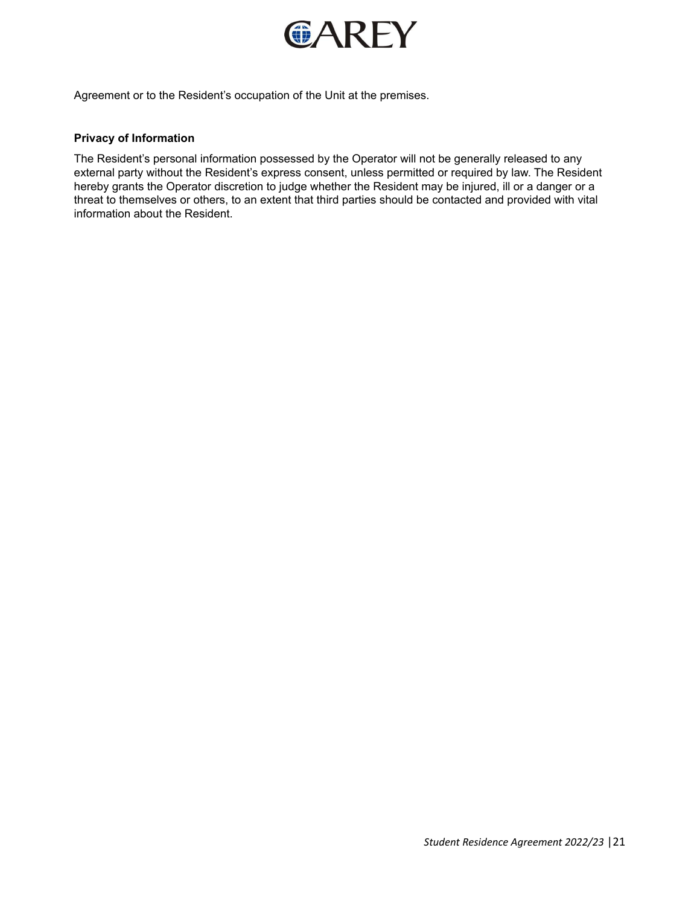

Agreement or to the Resident's occupation of the Unit at the premises.

# **Privacy of Information**

The Resident's personal information possessed by the Operator will not be generally released to any external party without the Resident's express consent, unless permitted or required by law. The Resident hereby grants the Operator discretion to judge whether the Resident may be injured, ill or a danger or a threat to themselves or others, to an extent that third parties should be contacted and provided with vital information about the Resident.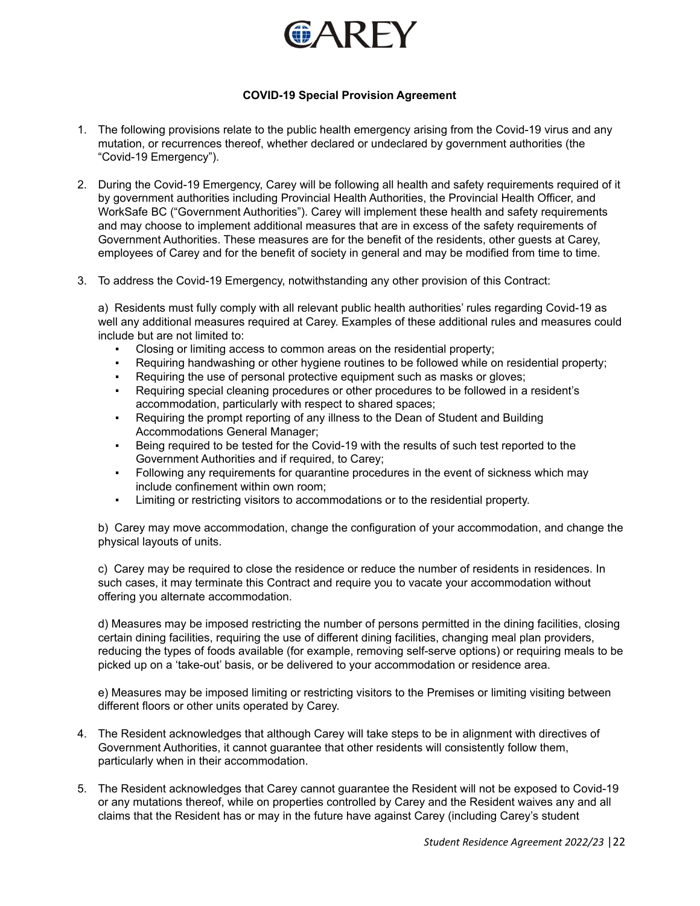

# **COVID-19 Special Provision Agreement**

- 1. The following provisions relate to the public health emergency arising from the Covid-19 virus and any mutation, or recurrences thereof, whether declared or undeclared by government authorities (the "Covid-19 Emergency").
- 2. During the Covid-19 Emergency, Carey will be following all health and safety requirements required of it by government authorities including Provincial Health Authorities, the Provincial Health Officer, and WorkSafe BC ("Government Authorities"). Carey will implement these health and safety requirements and may choose to implement additional measures that are in excess of the safety requirements of Government Authorities. These measures are for the benefit of the residents, other guests at Carey, employees of Carey and for the benefit of society in general and may be modified from time to time.
- 3. To address the Covid-19 Emergency, notwithstanding any other provision of this Contract:

a) Residents must fully comply with all relevant public health authorities' rules regarding Covid-19 as well any additional measures required at Carey. Examples of these additional rules and measures could include but are not limited to:

- Closing or limiting access to common areas on the residential property;
- Requiring handwashing or other hygiene routines to be followed while on residential property;
- Requiring the use of personal protective equipment such as masks or gloves;
- Requiring special cleaning procedures or other procedures to be followed in a resident's accommodation, particularly with respect to shared spaces;
- Requiring the prompt reporting of any illness to the Dean of Student and Building Accommodations General Manager;
- Being required to be tested for the Covid-19 with the results of such test reported to the Government Authorities and if required, to Carey;
- Following any requirements for quarantine procedures in the event of sickness which may include confinement within own room;
- Limiting or restricting visitors to accommodations or to the residential property.

b) Carey may move accommodation, change the configuration of your accommodation, and change the physical layouts of units.

c) Carey may be required to close the residence or reduce the number of residents in residences. In such cases, it may terminate this Contract and require you to vacate your accommodation without offering you alternate accommodation.

d) Measures may be imposed restricting the number of persons permitted in the dining facilities, closing certain dining facilities, requiring the use of different dining facilities, changing meal plan providers, reducing the types of foods available (for example, removing self-serve options) or requiring meals to be picked up on a 'take-out' basis, or be delivered to your accommodation or residence area.

e) Measures may be imposed limiting or restricting visitors to the Premises or limiting visiting between different floors or other units operated by Carey.

- 4. The Resident acknowledges that although Carey will take steps to be in alignment with directives of Government Authorities, it cannot guarantee that other residents will consistently follow them, particularly when in their accommodation.
- 5. The Resident acknowledges that Carey cannot guarantee the Resident will not be exposed to Covid-19 or any mutations thereof, while on properties controlled by Carey and the Resident waives any and all claims that the Resident has or may in the future have against Carey (including Carey's student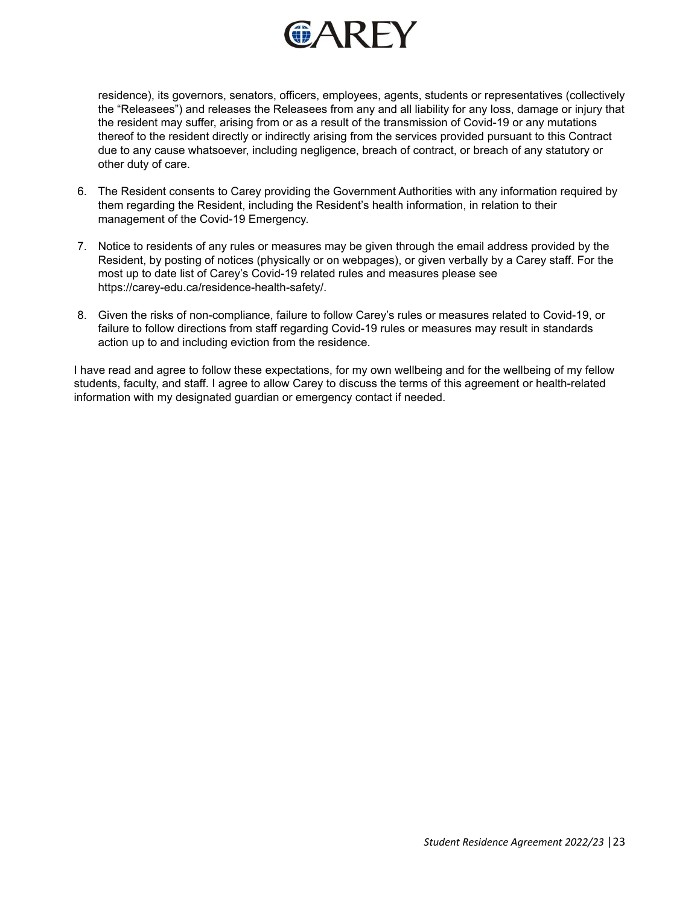

residence), its governors, senators, officers, employees, agents, students or representatives (collectively the "Releasees") and releases the Releasees from any and all liability for any loss, damage or injury that the resident may suffer, arising from or as a result of the transmission of Covid-19 or any mutations thereof to the resident directly or indirectly arising from the services provided pursuant to this Contract due to any cause whatsoever, including negligence, breach of contract, or breach of any statutory or other duty of care.

- 6. The Resident consents to Carey providing the Government Authorities with any information required by them regarding the Resident, including the Resident's health information, in relation to their management of the Covid-19 Emergency.
- 7. Notice to residents of any rules or measures may be given through the email address provided by the Resident, by posting of notices (physically or on webpages), or given verbally by a Carey staff. For the most up to date list of Carey's Covid-19 related rules and measures please see <https://carey-edu.ca/residence-health-safety/>.
- 8. Given the risks of non-compliance, failure to follow Carey's rules or measures related to Covid-19, or failure to follow directions from staff regarding Covid-19 rules or measures may result in standards action up to and including eviction from the residence.

I have read and agree to follow these expectations, for my own wellbeing and for the wellbeing of my fellow students, faculty, and staff. I agree to allow Carey to discuss the terms of this agreement or health-related information with my designated guardian or emergency contact if needed.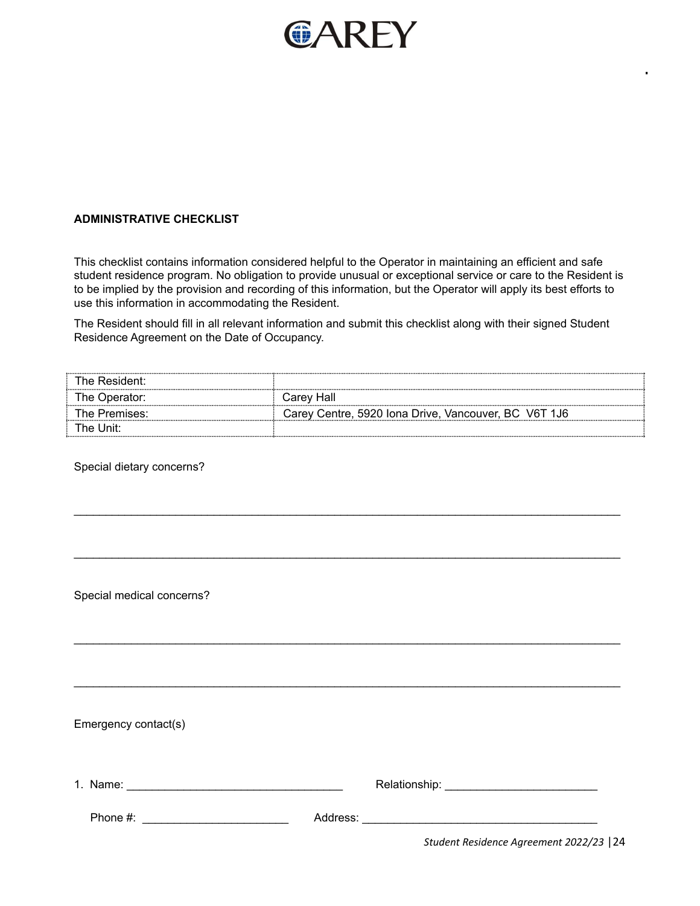

# **ADMINISTRATIVE CHECKLIST**

This checklist contains information considered helpful to the Operator in maintaining an efficient and safe student residence program. No obligation to provide unusual or exceptional service or care to the Resident is to be implied by the provision and recording of this information, but the Operator will apply its best efforts to use this information in accommodating the Resident.

The Resident should fill in all relevant information and submit this checklist along with their signed Student Residence Agreement on the Date of Occupancy.

| The Resident: |                                                      |
|---------------|------------------------------------------------------|
| The Operator: | Carev Hall                                           |
| The Premises: | Carey Centre, 5920 Iona Drive, Vancouver, BC V6T 1J6 |
| The Unit:     |                                                      |

 $\_$  . The contribution of the contribution of the contribution of the contribution of the contribution of the contribution of  $\mathcal{L}_\text{max}$ 

 $\_$  . The contribution of the contribution of the contribution of the contribution of the contribution of the contribution of  $\mathcal{L}_\text{max}$ 

 $\_$  . The contribution of the contribution of the contribution of the contribution of the contribution of the contribution of  $\mathcal{L}_\text{max}$ 

 $\_$  . The contribution of the contribution of the contribution of the contribution of the contribution of the contribution of  $\mathcal{L}_\text{max}$ 

Special dietary concerns?

Special medical concerns?

Emergency contact(s)

| 1. Name:    |          | Relationship:                            |
|-------------|----------|------------------------------------------|
| Phone $#$ : | Address: |                                          |
|             |          | Student Residence Agreement 2022/23   24 |